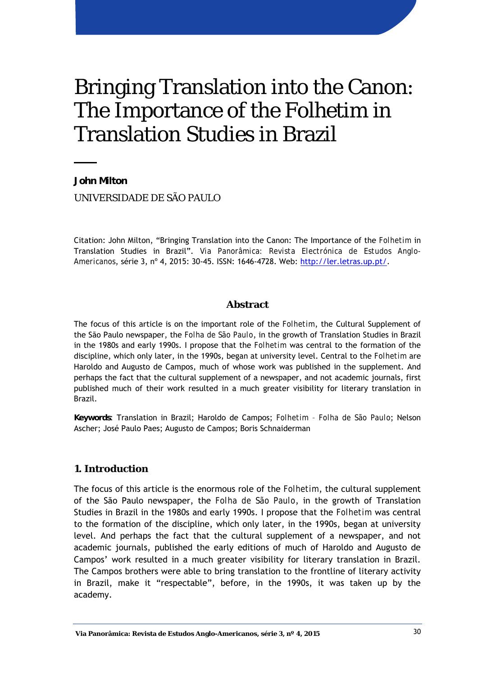# Bringing Translation into the Canon: The Importance of the *Folhetim* in Translation Studies in Brazil

**John Milton**  UNIVERSIDADE DE SÃO PAULO

Citation: John Milton, "Bringing Translation into the Canon: The Importance of the *Folhetim* in Translation Studies in Brazil". *Via Panorâmica: Revista Electrónica de Estudos Anglo-Americanos*, série 3, nº 4, 2015: 30-45. ISSN: 1646-4728. Web: http://ler.letras.up.pt/.

# **Abstract**

The focus of this article is on the important role of the *Folhetim*, the Cultural Supplement of the São Paulo newspaper, the *Folha de São Paulo*, in the growth of Translation Studies in Brazil in the 1980s and early 1990s. I propose that the *Folhetim* was central to the formation of the discipline, which only later, in the 1990s, began at university level. Central to the *Folhetim* are Haroldo and Augusto de Campos, much of whose work was published in the supplement. And perhaps the fact that the cultural supplement of a newspaper, and not academic journals, first published much of their work resulted in a much greater visibility for literary translation in Brazil.

**Keywords**: Translation in Brazil; Haroldo de Campos; *Folhetim* – *Folha de São Paulo*; Nelson Ascher; José Paulo Paes; Augusto de Campos; Boris Schnaiderman

# **1. Introduction**

The focus of this article is the enormous role of the *Folhetim*, the cultural supplement of the São Paulo newspaper, the *Folha de São Paulo*, in the growth of Translation Studies in Brazil in the 1980s and early 1990s. I propose that the *Folhetim* was central to the formation of the discipline, which only later, in the 1990s, began at university level. And perhaps the fact that the cultural supplement of a newspaper, and not academic journals, published the early editions of much of Haroldo and Augusto de Campos' work resulted in a much greater visibility for literary translation in Brazil. The Campos brothers were able to bring translation to the frontline of literary activity in Brazil, make it "respectable", before, in the 1990s, it was taken up by the academy.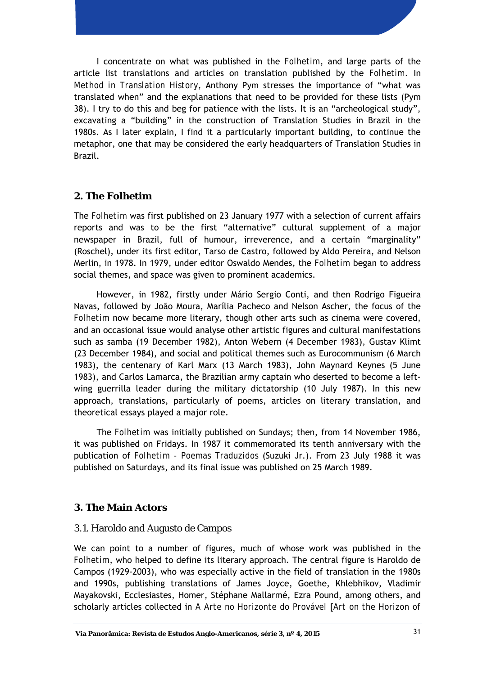I concentrate on what was published in the *Folhetim*, and large parts of the article list translations and articles on translation published by the *Folhetim*. In *Method in Translation History*, Anthony Pym stresses the importance of "what was translated when" and the explanations that need to be provided for these lists (Pym 38). I try to do this and beg for patience with the lists. It is an "archeological study", excavating a "building" in the construction of Translation Studies in Brazil in the 1980s. As I later explain, I find it a particularly important building, to continue the metaphor, one that may be considered the early headquarters of Translation Studies in Brazil.

# **2. The** *Folhetim*

The *Folhetim* was first published on 23 January 1977 with a selection of current affairs reports and was to be the first "alternative" cultural supplement of a major newspaper in Brazil, full of humour, irreverence, and a certain "marginality" (Roschel), under its first editor, Tarso de Castro, followed by Aldo Pereira, and Nelson Merlin, in 1978. In 1979, under editor Oswaldo Mendes, the *Folhetim* began to address social themes, and space was given to prominent academics.

However, in 1982, firstly under Mário Sergio Conti, and then Rodrigo Figueira Navas, followed by João Moura, Marília Pacheco and Nelson Ascher, the focus of the *Folhetim* now became more literary, though other arts such as cinema were covered, and an occasional issue would analyse other artistic figures and cultural manifestations such as samba (19 December 1982), Anton Webern (4 December 1983), Gustav Klimt (23 December 1984), and social and political themes such as Eurocommunism (6 March 1983), the centenary of Karl Marx (13 March 1983), John Maynard Keynes (5 June 1983), and Carlos Lamarca, the Brazilian army captain who deserted to become a leftwing guerrilla leader during the military dictatorship (10 July 1987). In this new approach, translations, particularly of poems, articles on literary translation, and theoretical essays played a major role.

The *Folhetim* was initially published on Sundays; then, from 14 November 1986, it was published on Fridays. In 1987 it commemorated its tenth anniversary with the publication of *Folhetim - Poemas Traduzidos* (Suzuki Jr.). From 23 July 1988 it was published on Saturdays, and its final issue was published on 25 March 1989.

# **3. The Main Actors**

# 3.1. Haroldo and Augusto de Campos

We can point to a number of figures, much of whose work was published in the *Folhetim*, who helped to define its literary approach. The central figure is Haroldo de Campos (1929-2003), who was especially active in the field of translation in the 1980s and 1990s, publishing translations of James Joyce, Goethe, Khlebhikov, Vladimir Mayakovski, Ecclesiastes, Homer, Stéphane Mallarmé, Ezra Pound, among others, and scholarly articles collected in *A Arte no Horizonte do Provável* [*Art on the Horizon of*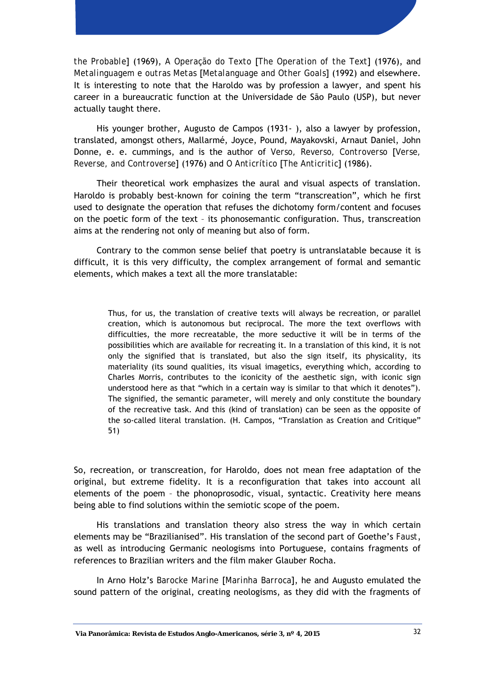*the Probable*] (1969), *A Operação do Texto* [*The Operation of the Text*] (1976), and *Metalinguagem e outras Metas* [*Metalanguage and Other Goals*] (1992) and elsewhere. It is interesting to note that the Haroldo was by profession a lawyer, and spent his career in a bureaucratic function at the Universidade de São Paulo (USP), but never actually taught there.

His younger brother, Augusto de Campos (1931- ), also a lawyer by profession, translated, amongst others, Mallarmé, Joyce, Pound, Mayakovski, Arnaut Daniel, John Donne, e. e. cummings, and is the author of *Verso, Reverso, Controverso* [*Verse, Reverse, and Controverse*] (1976) and *O Anticrítico* [*The Anticritic*] (1986).

Their theoretical work emphasizes the aural and visual aspects of translation. Haroldo is probably best-known for coining the term "transcreation", which he first used to designate the operation that refuses the dichotomy form/content and focuses on the poetic form of the text – its phonosemantic configuration. Thus, transcreation aims at the rendering not only of meaning but also of form.

Contrary to the common sense belief that poetry is untranslatable because it is difficult, it is this very difficulty, the complex arrangement of formal and semantic elements, which makes a text all the more translatable:

Thus, for us, the translation of creative texts will always be recreation, or parallel creation, which is autonomous but reciprocal. The more the text overflows with difficulties, the more recreatable, the more seductive it will be in terms of the possibilities which are available for recreating it. In a translation of this kind, it is not only the signified that is translated, but also the sign itself, its physicality, its materiality (its sound qualities, its visual imagetics, everything which, according to Charles Morris, contributes to the iconicity of the aesthetic sign, with iconic sign understood here as that "which in a certain way is similar to that which it denotes"). The signified, the semantic parameter, will merely and only constitute the boundary of the recreative task. And this (kind of translation) can be seen as the opposite of the so-called literal translation. (H. Campos, "Translation as Creation and Critique" 51)

So, recreation, or transcreation, for Haroldo, does not mean free adaptation of the original, but extreme fidelity. It is a reconfiguration that takes into account all elements of the poem – the phonoprosodic, visual, syntactic. Creativity here means being able to find solutions within the semiotic scope of the poem.

His translations and translation theory also stress the way in which certain elements may be "Brazilianised". His translation of the second part of Goethe's *Faust*, as well as introducing Germanic neologisms into Portuguese, contains fragments of references to Brazilian writers and the film maker Glauber Rocha.

In Arno Holz's *Barocke Marine* [*Marinha Barroca*], he and Augusto emulated the sound pattern of the original, creating neologisms, as they did with the fragments of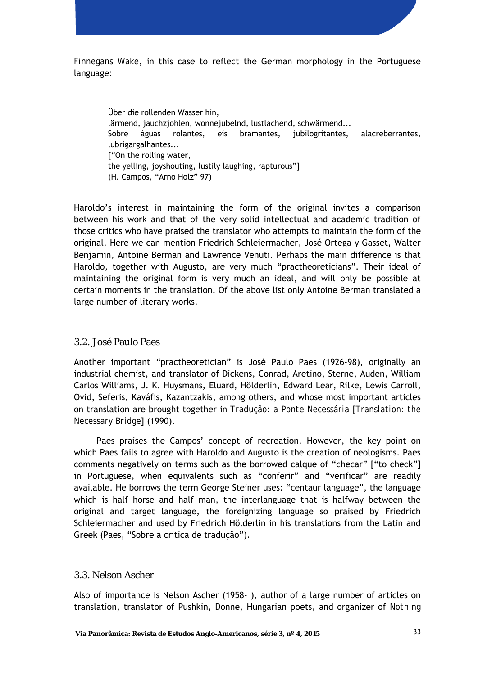*Finnegans Wake*, in this case to reflect the German morphology in the Portuguese language:

Über die rollenden Wasser hin, lärmend, jauchzjohlen, wonnejubelnd, lustlachend, schwärmend... Sobre águas rolantes, eis bramantes, jubilogritantes, alacreberrantes, lubrigargalhantes... ["On the rolling water, the yelling, joyshouting, lustily laughing, rapturous"] (H. Campos, "Arno Holz" 97)

Haroldo's interest in maintaining the form of the original invites a comparison between his work and that of the very solid intellectual and academic tradition of those critics who have praised the translator who attempts to maintain the form of the original. Here we can mention Friedrich Schleiermacher, José Ortega y Gasset, Walter Benjamin, Antoine Berman and Lawrence Venuti. Perhaps the main difference is that Haroldo, together with Augusto, are very much "practheoreticians". Their ideal of maintaining the original form is very much an ideal, and will only be possible at certain moments in the translation. Of the above list only Antoine Berman translated a large number of literary works.

# 3.2. José Paulo Paes

Another important "practheoretician" is José Paulo Paes (1926-98), originally an industrial chemist, and translator of Dickens, Conrad, Aretino, Sterne, Auden, William Carlos Williams, J. K. Huysmans, Eluard, Hölderlin, Edward Lear, Rilke, Lewis Carroll, Ovid, Seferis, Kaváfis, Kazantzakis, among others, and whose most important articles on translation are brought together in *Tradução: a Ponte Necessária* [*Translation: the Necessary Bridge*] (1990).

Paes praises the Campos' concept of recreation. However, the key point on which Paes fails to agree with Haroldo and Augusto is the creation of neologisms. Paes comments negatively on terms such as the borrowed calque of "checar" ["to check"] in Portuguese, when equivalents such as "conferir" and "verificar" are readily available. He borrows the term George Steiner uses: "centaur language", the language which is half horse and half man, the interlanguage that is halfway between the original and target language, the foreignizing language so praised by Friedrich Schleiermacher and used by Friedrich Hölderlin in his translations from the Latin and Greek (Paes, "Sobre a crítica de tradução").

# 3.3. Nelson Ascher

Also of importance is Nelson Ascher (1958- ), author of a large number of articles on translation, translator of Pushkin, Donne, Hungarian poets, and organizer of *Nothing*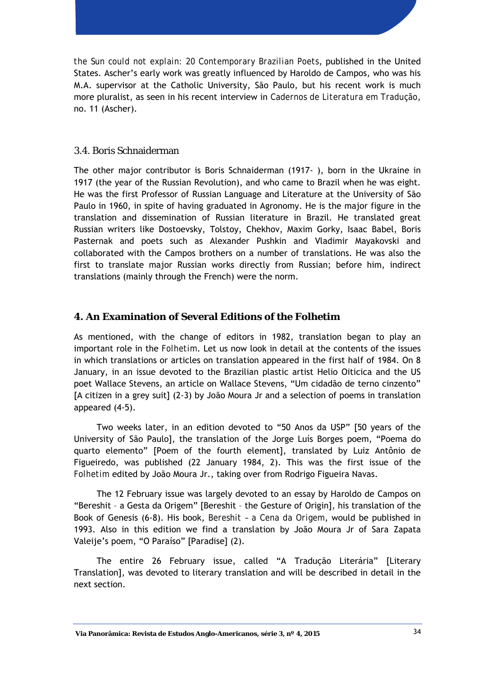*the Sun could not explain: 20 Contemporary Brazilian Poets*, published in the United States. Ascher's early work was greatly influenced by Haroldo de Campos, who was his M.A. supervisor at the Catholic University, São Paulo, but his recent work is much more pluralist, as seen in his recent interview in *Cadernos de Literatura em Tradução*, no. 11 (Ascher).

#### 3.4. Boris Schnaiderman

The other major contributor is Boris Schnaiderman (1917- ), born in the Ukraine in 1917 (the year of the Russian Revolution), and who came to Brazil when he was eight. He was the first Professor of Russian Language and Literature at the University of São Paulo in 1960, in spite of having graduated in Agronomy. He is the major figure in the translation and dissemination of Russian literature in Brazil. He translated great Russian writers like Dostoevsky, Tolstoy, Chekhov, Maxim Gorky, Isaac Babel, Boris Pasternak and poets such as Alexander Pushkin and Vladimir Mayakovski and collaborated with the Campos brothers on a number of translations. He was also the first to translate major Russian works directly from Russian; before him, indirect translations (mainly through the French) were the norm.

# **4. An Examination of Several Editions of the** *Folhetim*

As mentioned, with the change of editors in 1982, translation began to play an important role in the *Folhetim*. Let us now look in detail at the contents of the issues in which translations or articles on translation appeared in the first half of 1984. On 8 January, in an issue devoted to the Brazilian plastic artist Helio Oiticica and the US poet Wallace Stevens, an article on Wallace Stevens, "Um cidadão de terno cinzento" [A citizen in a grey suit] (2-3) by João Moura Jr and a selection of poems in translation appeared (4-5).

Two weeks later, in an edition devoted to "50 Anos da USP" [50 years of the University of São Paulo], the translation of the Jorge Luís Borges poem, "Poema do quarto elemento" [Poem of the fourth element], translated by Luiz Antônio de Figueiredo, was published (22 January 1984, 2). This was the first issue of the *Folhetim* edited by João Moura Jr., taking over from Rodrigo Figueira Navas.

The 12 February issue was largely devoted to an essay by Haroldo de Campos on "Bereshit – a Gesta da Origem" [Bereshit – the Gesture of Origin], his translation of the Book of Genesis (6-8). His book, *Bereshit – a Cena da Origem*, would be published in 1993. Also in this edition we find a translation by João Moura Jr of Sara Zapata Valeije's poem, "O Paraíso" [Paradise] (2).

The entire 26 February issue, called "A Tradução Literária" [Literary Translation], was devoted to literary translation and will be described in detail in the next section.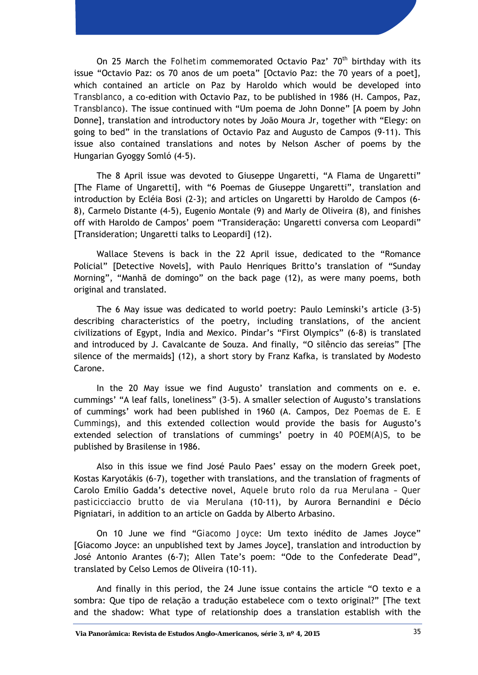On 25 March the *Folhetim* commemorated Octavio Paz' 70<sup>th</sup> birthday with its issue "Octavio Paz: os 70 anos de um poeta" [Octavio Paz: the 70 years of a poet], which contained an article on Paz by Haroldo which would be developed into *Transblanco*, a co-edition with Octavio Paz, to be published in 1986 (H. Campos, Paz, *Transblanco*). The issue continued with "Um poema de John Donne" [A poem by John Donne], translation and introductory notes by João Moura Jr, together with "Elegy: on going to bed" in the translations of Octavio Paz and Augusto de Campos (9-11). This issue also contained translations and notes by Nelson Ascher of poems by the Hungarian Gyoggy Somló (4-5).

The 8 April issue was devoted to Giuseppe Ungaretti, "A Flama de Ungaretti" [The Flame of Ungaretti], with "6 Poemas de Giuseppe Ungaretti", translation and introduction by Ecléia Bosi (2-3); and articles on Ungaretti by Haroldo de Campos (6- 8), Carmelo Distante (4-5), Eugenio Montale (9) and Marly de Oliveira (8), and finishes off with Haroldo de Campos' poem "Transideração: Ungaretti conversa com Leopardi" [Transideration; Ungaretti talks to Leopardi] (12).

Wallace Stevens is back in the 22 April issue, dedicated to the "Romance Policial" [Detective Novels], with Paulo Henriques Britto's translation of "Sunday Morning", "Manhã de domingo" on the back page (12), as were many poems, both original and translated.

The 6 May issue was dedicated to world poetry: Paulo Leminski's article (3-5) describing characteristics of the poetry, including translations, of the ancient civilizations of Egypt, India and Mexico. Pindar's "First Olympics" (6-8) is translated and introduced by J. Cavalcante de Souza. And finally, "O silêncio das sereias" [The silence of the mermaids] (12), a short story by Franz Kafka, is translated by Modesto Carone.

In the 20 May issue we find Augusto' translation and comments on e. e. cummings' "A leaf falls, loneliness" (3-5). A smaller selection of Augusto's translations of cummings' work had been published in 1960 (A. Campos, *Dez Poemas de E. E Cummings*), and this extended collection would provide the basis for Augusto's extended selection of translations of cummings' poetry in *40 POEM(A)S*, to be published by Brasilense in 1986.

Also in this issue we find José Paulo Paes' essay on the modern Greek poet, Kostas Karyotákis (6-7), together with translations, and the translation of fragments of Carolo Emilio Gadda's detective novel, *Aquele bruto rolo da rua Merulana – Quer pasticicciaccio brutto de via Merulana* (10-11), by Aurora Bernandini e Décio Pigniatari, in addition to an article on Gadda by Alberto Arbasino.

On 10 June we find "*Giacomo Joyce*: Um texto inédito de James Joyce" [Giacomo Joyce: an unpublished text by James Joyce], translation and introduction by José Antonio Arantes (6-7); Allen Tate's poem: "Ode to the Confederate Dead", translated by Celso Lemos de Oliveira (10-11).

And finally in this period, the 24 June issue contains the article "O texto e a sombra: Que tipo de relação a tradução estabelece com o texto original?" [The text and the shadow: What type of relationship does a translation establish with the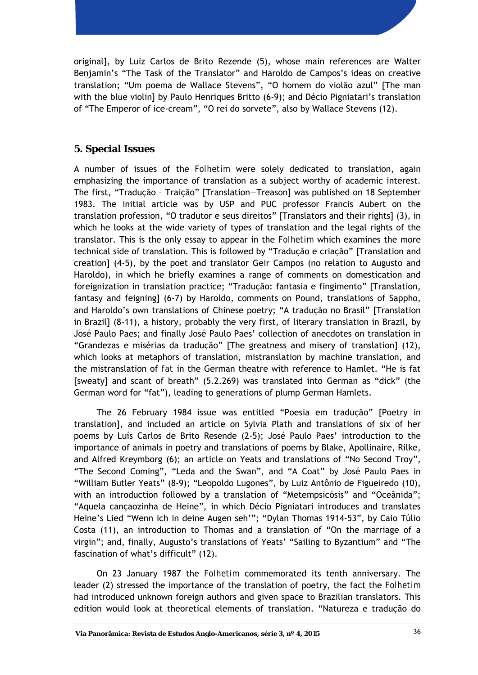original], by Luiz Carlos de Brito Rezende (5), whose main references are Walter Benjamin's "The Task of the Translator" and Haroldo de Campos's ideas on creative translation; "Um poema de Wallace Stevens", "O homem do violão azul" [The man with the blue violin] by Paulo Henriques Britto (6-9); and Décio Pigniatari's translation of "The Emperor of ice-cream", "O rei do sorvete", also by Wallace Stevens (12).

# **5. Special Issues**

A number of issues of the *Folhetim* were solely dedicated to translation, again emphasizing the importance of translation as a subject worthy of academic interest. The first, "Tradução – Traição" [Translation—Treason] was published on 18 September 1983. The initial article was by USP and PUC professor Francis Aubert on the translation profession, "O tradutor e seus direitos" [Translators and their rights] (3), in which he looks at the wide variety of types of translation and the legal rights of the translator. This is the only essay to appear in the *Folhetim* which examines the more technical side of translation. This is followed by "Tradução e criação" [Translation and creation] (4-5), by the poet and translator Geir Campos (no relation to Augusto and Haroldo), in which he briefly examines a range of comments on domestication and foreignization in translation practice; "Tradução: fantasia e fingimento" [Translation, fantasy and feigning] (6-7) by Haroldo, comments on Pound, translations of Sappho, and Haroldo's own translations of Chinese poetry; "A tradução no Brasil" [Translation in Brazil] (8-11), a history, probably the very first, of literary translation in Brazil, by José Paulo Paes; and finally José Paulo Paes' collection of anecdotes on translation in "Grandezas e misérias da tradução" [The greatness and misery of translation] (12), which looks at metaphors of translation, mistranslation by machine translation, and the mistranslation of *fat* in the German theatre with reference to Hamlet. "He is fat [sweaty] and scant of breath" (5.2.269) was translated into German as "dick" (the German word for "fat"), leading to generations of plump German Hamlets.

The 26 February 1984 issue was entitled "Poesia em tradução" [Poetry in translation], and included an article on Sylvia Plath and translations of six of her poems by Luís Carlos de Brito Resende (2-5); José Paulo Paes' introduction to the importance of animals in poetry and translations of poems by Blake, Apollinaire, Rilke, and Alfred Kreymborg (6); an article on Yeats and translations of "No Second Troy", "The Second Coming", "Leda and the Swan", and "A Coat" by José Paulo Paes in "William Butler Yeats" (8-9); "Leopoldo Lugones", by Luiz Antônio de Figueiredo (10), with an introduction followed by a translation of "Metempsicósis" and "Oceânida"; "Aquela cançaozinha de Heine", in which Décio Pigniatari introduces and translates Heine's Lied "Wenn ich in deine Augen seh'"; "Dylan Thomas 1914-53", by Caio Túlio Costa (11), an introduction to Thomas and a translation of "On the marriage of a virgin"; and, finally, Augusto's translations of Yeats' "Sailing to Byzantium" and "The fascination of what's difficult" (12).

On 23 January 1987 the *Folhetim* commemorated its tenth anniversary. The leader (2) stressed the importance of the translation of poetry, the fact the *Folhetim* had introduced unknown foreign authors and given space to Brazilian translators. This edition would look at theoretical elements of translation. "Natureza e tradução do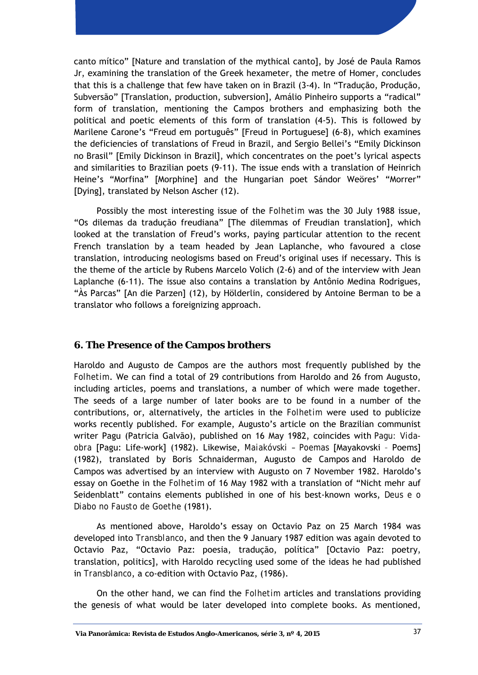canto mítico" [Nature and translation of the mythical canto], by José de Paula Ramos Jr, examining the translation of the Greek hexameter, the metre of Homer, concludes that this is a challenge that few have taken on in Brazil (3-4). In "Tradução, Produção, Subversão" [Translation, production, subversion], Amálio Pinheiro supports a "radical" form of translation, mentioning the Campos brothers and emphasizing both the political and poetic elements of this form of translation (4-5). This is followed by Marilene Carone's "Freud em português" [Freud in Portuguese] (6-8), which examines the deficiencies of translations of Freud in Brazil, and Sergio Bellei's "Emily Dickinson no Brasil" [Emily Dickinson in Brazil], which concentrates on the poet's lyrical aspects and similarities to Brazilian poets (9-11). The issue ends with a translation of Heinrich Heine's "Morfina" [Morphine] and the Hungarian poet Sándor Weöres' "Morrer" [Dying], translated by Nelson Ascher (12).

Possibly the most interesting issue of the *Folhetim* was the 30 July 1988 issue, "Os dilemas da tradução freudiana" [The dilemmas of Freudian translation], which looked at the translation of Freud's works, paying particular attention to the recent French translation by a team headed by Jean Laplanche, who favoured a close translation, introducing neologisms based on Freud's original uses if necessary. This is the theme of the article by Rubens Marcelo Volich (2-6) and of the interview with Jean Laplanche (6-11). The issue also contains a translation by Antônio Medina Rodrigues, "Às Parcas" [An die Parzen] (12), by Hölderlin, considered by Antoine Berman to be a translator who follows a foreignizing approach.

# **6. The Presence of the Campos brothers**

Haroldo and Augusto de Campos are the authors most frequently published by the *Folhetim*. We can find a total of 29 contributions from Haroldo and 26 from Augusto, including articles, poems and translations, a number of which were made together. The seeds of a large number of later books are to be found in a number of the contributions, or, alternatively, the articles in the *Folhetim* were used to publicize works recently published. For example, Augusto's article on the Brazilian communist writer Pagu (Patricia Galvão), published on 16 May 1982, coincides with *Pagu: Vidaobra* [Pagu: Life-work] (1982). Likewise, *Maiakóvski – Poemas* [Mayakovski – Poems] (1982), translated by Boris Schnaiderman, Augusto de Campos and Haroldo de Campos was advertised by an interview with Augusto on 7 November 1982. Haroldo's essay on Goethe in the *Folhetim* of 16 May 1982 with a translation of "Nicht mehr auf Seidenblatt" contains elements published in one of his best-known works, *Deus e o Diabo no Fausto de Goethe* (1981).

As mentioned above, Haroldo's essay on Octavio Paz on 25 March 1984 was developed into *Transblanco*, and then the 9 January 1987 edition was again devoted to Octavio Paz, "Octavio Paz: poesia, tradução, política" [Octavio Paz: poetry, translation, politics], with Haroldo recycling used some of the ideas he had published in *Transblanco*, a co-edition with Octavio Paz, (1986).

On the other hand, we can find the *Folhetim* articles and translations providing the genesis of what would be later developed into complete books. As mentioned,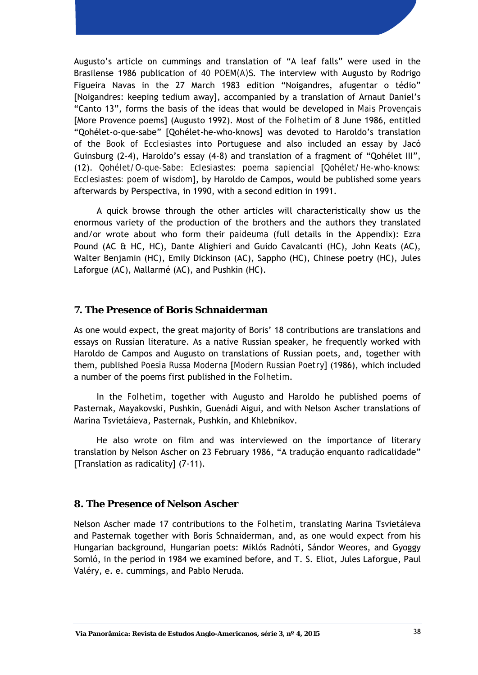Augusto's article on cummings and translation of "A leaf falls" were used in the Brasilense 1986 publication of *40 POEM(A)S*. The interview with Augusto by Rodrigo Figueira Navas in the 27 March 1983 edition "Noigandres, afugentar o tédio" [Noigandres: keeping tedium away], accompanied by a translation of Arnaut Daniel's "Canto 13", forms the basis of the ideas that would be developed in *Mais Provençais*  [More Provence poems] (Augusto 1992). Most of the *Folhetim* of 8 June 1986, entitled "Qohélet-o-que-sabe" [Qohélet-he-who-knows] was devoted to Haroldo's translation of the *Book of Ecclesiastes* into Portuguese and also included an essay by Jacó Guinsburg (2-4), Haroldo's essay (4-8) and translation of a fragment of "Qohélet III", (12). *Qohélet/O-que-Sabe: Eclesiastes: poema sapiencial* [*Qohélet/He-who-knows: Ecclesiastes: poem of wisdom*], by Haroldo de Campos, would be published some years afterwards by Perspectiva, in 1990, with a second edition in 1991.

A quick browse through the other articles will characteristically show us the enormous variety of the production of the brothers and the authors they translated and/or wrote about who form their *paideuma* (full details in the Appendix): Ezra Pound (AC & HC, HC), Dante Alighieri and Guido Cavalcanti (HC), John Keats (AC), Walter Benjamin (HC), Emily Dickinson (AC), Sappho (HC), Chinese poetry (HC), Jules Laforgue (AC), Mallarmé (AC), and Pushkin (HC).

#### **7. The Presence of Boris Schnaiderman**

As one would expect, the great majority of Boris' 18 contributions are translations and essays on Russian literature. As a native Russian speaker, he frequently worked with Haroldo de Campos and Augusto on translations of Russian poets, and, together with them, published *Poesia Russa Moderna* [*Modern Russian Poetry*] (1986), which included a number of the poems first published in the *Folhetim*.

In the *Folhetim*, together with Augusto and Haroldo he published poems of Pasternak, Mayakovski, Pushkin, Guenádi Aigui, and with Nelson Ascher translations of Marina Tsvietáieva, Pasternak, Pushkin, and Khlebnikov.

He also wrote on film and was interviewed on the importance of literary translation by Nelson Ascher on 23 February 1986, "A tradução enquanto radicalidade" [Translation as radicality] (7-11).

# **8. The Presence of Nelson Ascher**

Nelson Ascher made 17 contributions to the *Folhetim*, translating Marina Tsvietáieva and Pasternak together with Boris Schnaiderman, and, as one would expect from his Hungarian background, Hungarian poets: Miklós Radnóti, Sándor Weores, and Gyoggy Somló, in the period in 1984 we examined before, and T. S. Eliot, Jules Laforgue, Paul Valéry, e. e. cummings, and Pablo Neruda.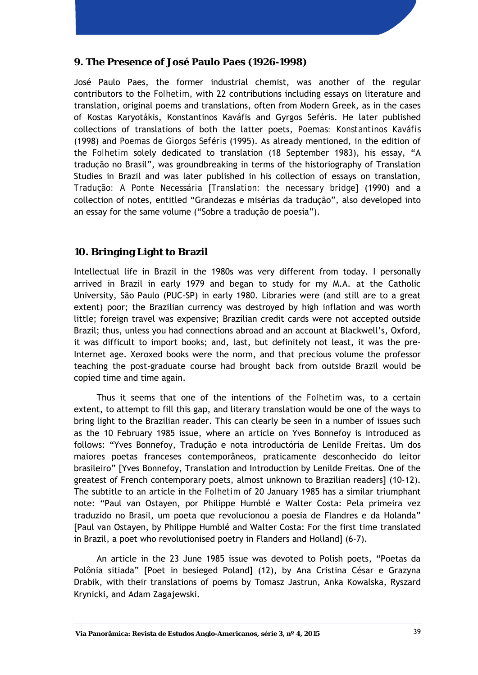# **9. The Presence of José Paulo Paes (1926-1998)**

José Paulo Paes, the former industrial chemist, was another of the regular contributors to the *Folhetim*, with 22 contributions including essays on literature and translation, original poems and translations, often from Modern Greek, as in the cases of Kostas Karyotákis, Konstantinos Kaváfis and Gyrgos Seféris. He later published collections of translations of both the latter poets, *Poemas: Konstantinos Kaváfis*  (1998) and *Poemas de Giorgos Seféris* (1995). As already mentioned, in the edition of the *Folhetim* solely dedicated to translation (18 September 1983), his essay, "A tradução no Brasil", was groundbreaking in terms of the historiography of Translation Studies in Brazil and was later published in his collection of essays on translation, *Tradução: A Ponte Necessária* [*Translation: the necessary bridge*] (1990) and a collection of notes, entitled "Grandezas e misérias da tradução", also developed into an essay for the same volume ("Sobre a tradução de poesia").

# **10. Bringing Light to Brazil**

Intellectual life in Brazil in the 1980s was very different from today. I personally arrived in Brazil in early 1979 and began to study for my M.A. at the Catholic University, São Paulo (PUC-SP) in early 1980. Libraries were (and still are to a great extent) poor; the Brazilian currency was destroyed by high inflation and was worth little; foreign travel was expensive; Brazilian credit cards were not accepted outside Brazil; thus, unless you had connections abroad and an account at Blackwell's, Oxford, it was difficult to import books; and, last, but definitely not least, it was the pre-Internet age. Xeroxed books were the norm, and that precious volume the professor teaching the post-graduate course had brought back from outside Brazil would be copied time and time again.

Thus it seems that one of the intentions of the *Folhetim* was, to a certain extent, to attempt to fill this gap, and literary translation would be one of the ways to bring light to the Brazilian reader. This can clearly be seen in a number of issues such as the 10 February 1985 issue, where an article on Yves Bonnefoy is introduced as follows: "Yves Bonnefoy, Tradução e nota introductória de Lenilde Freitas. Um dos maiores poetas franceses contemporâneos, praticamente desconhecido do leitor brasileiro" [Yves Bonnefoy, Translation and Introduction by Lenilde Freitas. One of the greatest of French contemporary poets, almost unknown to Brazilian readers] (10-12). The subtitle to an article in the *Folhetim* of 20 January 1985 has a similar triumphant note: "Paul van Ostayen, por Philippe Humblé e Walter Costa: Pela primeira vez traduzido no Brasil, um poeta que revolucionou a poesia de Flandres e da Holanda" [Paul van Ostayen, by Philippe Humblé and Walter Costa: For the first time translated in Brazil, a poet who revolutionised poetry in Flanders and Holland] (6-7).

An article in the 23 June 1985 issue was devoted to Polish poets, "Poetas da Polônia sitiada" [Poet in besieged Poland] (12), by Ana Cristina César e Grazyna Drabik, with their translations of poems by Tomasz Jastrun, Anka Kowalska, Ryszard Krynicki, and Adam Zagajewski.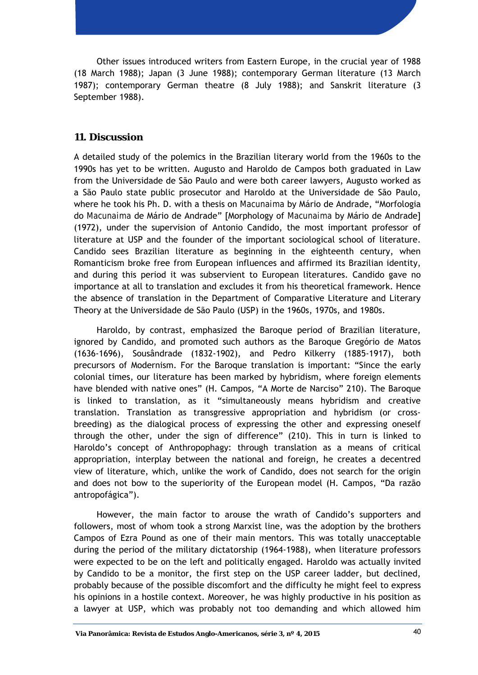Other issues introduced writers from Eastern Europe, in the crucial year of 1988 (18 March 1988); Japan (3 June 1988); contemporary German literature (13 March 1987); contemporary German theatre (8 July 1988); and Sanskrit literature (3 September 1988).

# **11. Discussion**

A detailed study of the polemics in the Brazilian literary world from the 1960s to the 1990s has yet to be written. Augusto and Haroldo de Campos both graduated in Law from the Universidade de São Paulo and were both career lawyers, Augusto worked as a São Paulo state public prosecutor and Haroldo at the Universidade de São Paulo, where he took his Ph. D. with a thesis on *Macunaima* by Mário de Andrade, "Morfologia do *Macunaima* de Mário de Andrade" [Morphology of *Macunaima* by Mário de Andrade] (1972), under the supervision of Antonio Candido, the most important professor of literature at USP and the founder of the important sociological school of literature. Candido sees Brazilian literature as beginning in the eighteenth century, when Romanticism broke free from European influences and affirmed its Brazilian identity, and during this period it was subservient to European literatures. Candido gave no importance at all to translation and excludes it from his theoretical framework. Hence the absence of translation in the Department of Comparative Literature and Literary Theory at the Universidade de São Paulo (USP) in the 1960s, 1970s, and 1980s.

Haroldo, by contrast, emphasized the Baroque period of Brazilian literature, ignored by Candido, and promoted such authors as the Baroque Gregório de Matos (1636-1696), Sousândrade (1832-1902), and Pedro Kilkerry (1885-1917), both precursors of Modernism. For the Baroque translation is important: "Since the early colonial times, our literature has been marked by hybridism, where foreign elements have blended with native ones" (H. Campos, "A Morte de Narciso" 210). The Baroque is linked to translation, as it "simultaneously means hybridism and creative translation. Translation as transgressive appropriation and hybridism (or crossbreeding) as the dialogical process of expressing the other and expressing oneself through the other, under the sign of difference" (210). This in turn is linked to Haroldo's concept of Anthropophagy: through translation as a means of critical appropriation, interplay between the national and foreign, he creates a decentred view of literature, which, unlike the work of Candido, does not search for the origin and does not bow to the superiority of the European model (H. Campos, "Da razão antropofágica").

However, the main factor to arouse the wrath of Candido's supporters and followers, most of whom took a strong Marxist line, was the adoption by the brothers Campos of Ezra Pound as one of their main mentors. This was totally unacceptable during the period of the military dictatorship (1964-1988), when literature professors were expected to be on the left and politically engaged. Haroldo was actually invited by Candido to be a monitor, the first step on the USP career ladder, but declined, probably because of the possible discomfort and the difficulty he might feel to express his opinions in a hostile context. Moreover, he was highly productive in his position as a lawyer at USP, which was probably not too demanding and which allowed him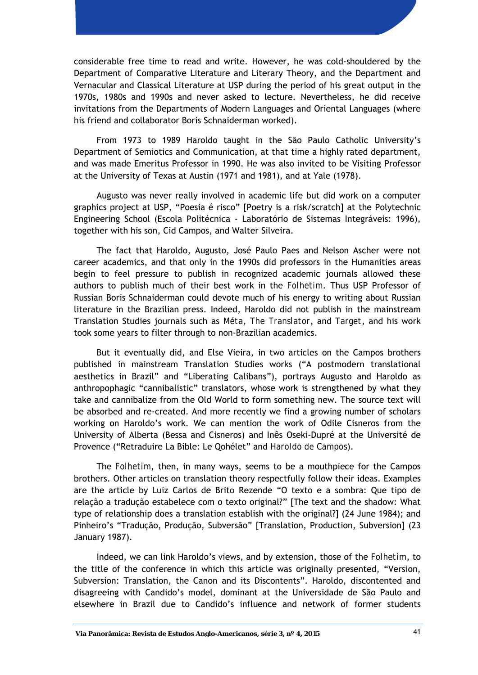considerable free time to read and write. However, he was cold-shouldered by the Department of Comparative Literature and Literary Theory, and the Department and Vernacular and Classical Literature at USP during the period of his great output in the 1970s, 1980s and 1990s and never asked to lecture. Nevertheless, he did receive invitations from the Departments of Modern Languages and Oriental Languages (where his friend and collaborator Boris Schnaiderman worked).

From 1973 to 1989 Haroldo taught in the São Paulo Catholic University's Department of Semiotics and Communication, at that time a highly rated department, and was made Emeritus Professor in 1990. He was also invited to be Visiting Professor at the University of Texas at Austin (1971 and 1981), and at Yale (1978).

Augusto was never really involved in academic life but did work on a computer graphics project at USP, "Poesia é risco" [Poetry is a risk/scratch] at the Polytechnic Engineering School (Escola Politécnica - Laboratório de Sistemas Integráveis: 1996), together with his son, Cid Campos, and Walter Silveira.

The fact that Haroldo, Augusto, José Paulo Paes and Nelson Ascher were not career academics, and that only in the 1990s did professors in the Humanities areas begin to feel pressure to publish in recognized academic journals allowed these authors to publish much of their best work in the *Folhetim*. Thus USP Professor of Russian Boris Schnaiderman could devote much of his energy to writing about Russian literature in the Brazilian press. Indeed, Haroldo did not publish in the mainstream Translation Studies journals such as *Méta*, *The Translator*, and *Target*, and his work took some years to filter through to non-Brazilian academics.

But it eventually did, and Else Vieira, in two articles on the Campos brothers published in mainstream Translation Studies works ("A postmodern translational aesthetics in Brazil" and "Liberating Calibans"), portrays Augusto and Haroldo as anthropophagic "cannibalistic" translators, whose work is strengthened by what they take and cannibalize from the Old World to form something new. The source text will be absorbed and re-created. And more recently we find a growing number of scholars working on Haroldo's work. We can mention the work of Odile Cisneros from the University of Alberta (Bessa and Cisneros) and Inês Oseki-Dupré at the Université de Provence ("Retraduire La Bible: Le Qohélet" and *Haroldo de Campos*).

The *Folhetim*, then, in many ways, seems to be a mouthpiece for the Campos brothers. Other articles on translation theory respectfully follow their ideas. Examples are the article by Luiz Carlos de Brito Rezende "O texto e a sombra: Que tipo de relação a tradução estabelece com o texto original?" [The text and the shadow: What type of relationship does a translation establish with the original?] (24 June 1984); and Pinheiro's "Tradução, Produção, Subversão" [Translation, Production, Subversion] (23 January 1987).

Indeed, we can link Haroldo's views, and by extension, those of the *Folhetim*, to the title of the conference in which this article was originally presented, "Version, Subversion: Translation, the Canon and its Discontents". Haroldo, discontented and disagreeing with Candido's model, dominant at the Universidade de São Paulo and elsewhere in Brazil due to Candido's influence and network of former students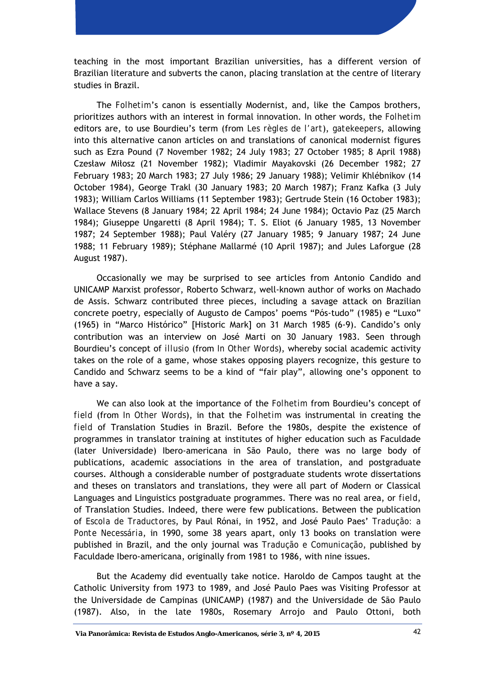teaching in the most important Brazilian universities, has a different version of Brazilian literature and subverts the canon, placing translation at the centre of literary studies in Brazil.

The *Folhetim*'s canon is essentially Modernist, and, like the Campos brothers, prioritizes authors with an interest in formal innovation. In other words, the *Folhetim* editors are, to use Bourdieu's term (from *Les règles de l'art*), *gatekeepers*, allowing into this alternative canon articles on and translations of canonical modernist figures such as Ezra Pound (7 November 1982; 24 July 1983; 27 October 1985; 8 April 1988) Czesław Miłosz (21 November 1982); Vladimir Mayakovski (26 December 1982; 27 February 1983; 20 March 1983; 27 July 1986; 29 January 1988); Velimir Khlébnikov (14 October 1984), George Trakl (30 January 1983; 20 March 1987); Franz Kafka (3 July 1983); William Carlos Williams (11 September 1983); Gertrude Stein (16 October 1983); Wallace Stevens (8 January 1984; 22 April 1984; 24 June 1984); Octavio Paz (25 March 1984); Giuseppe Ungaretti (8 April 1984); T. S. Eliot (6 January 1985, 13 November 1987; 24 September 1988); Paul Valéry (27 January 1985; 9 January 1987; 24 June 1988; 11 February 1989); Stéphane Mallarmé (10 April 1987); and Jules Laforgue (28 August 1987).

Occasionally we may be surprised to see articles from Antonio Candido and UNICAMP Marxist professor, Roberto Schwarz, well-known author of works on Machado de Assis. Schwarz contributed three pieces, including a savage attack on Brazilian concrete poetry, especially of Augusto de Campos' poems "Pós-tudo" (1985) e "Luxo" (1965) in "Marco Histórico" [Historic Mark] on 31 March 1985 (6-9). Candido's only contribution was an interview on José Marti on 30 January 1983. Seen through Bourdieu's concept of *illusio* (from *In Other Words*), whereby social academic activity takes on the role of a game, whose stakes opposing players recognize, this gesture to Candido and Schwarz seems to be a kind of "fair play", allowing one's opponent to have a say.

We can also look at the importance of the *Folhetim* from Bourdieu's concept of *field* (from *In Other Words*), in that the *Folhetim* was instrumental in creating the *field* of Translation Studies in Brazil. Before the 1980s, despite the existence of programmes in translator training at institutes of higher education such as Faculdade (later Universidade) Ibero-americana in São Paulo, there was no large body of publications, academic associations in the area of translation, and postgraduate courses. Although a considerable number of postgraduate students wrote dissertations and theses on translators and translations, they were all part of Modern or Classical Languages and Linguistics postgraduate programmes. There was no real area, or *field*, of Translation Studies. Indeed, there were few publications. Between the publication of *Escola de Traductores*, by Paul Rónai, in 1952, and José Paulo Paes' *Tradução: a Ponte Necessária*, in 1990, some 38 years apart, only 13 books on translation were published in Brazil, and the only journal was *Tradução e Comunicação*, published by Faculdade Ibero-americana, originally from 1981 to 1986, with nine issues.

But the Academy did eventually take notice. Haroldo de Campos taught at the Catholic University from 1973 to 1989, and José Paulo Paes was Visiting Professor at the Universidade de Campinas (UNICAMP) (1987) and the Universidade de São Paulo (1987). Also, in the late 1980s, Rosemary Arrojo and Paulo Ottoni, both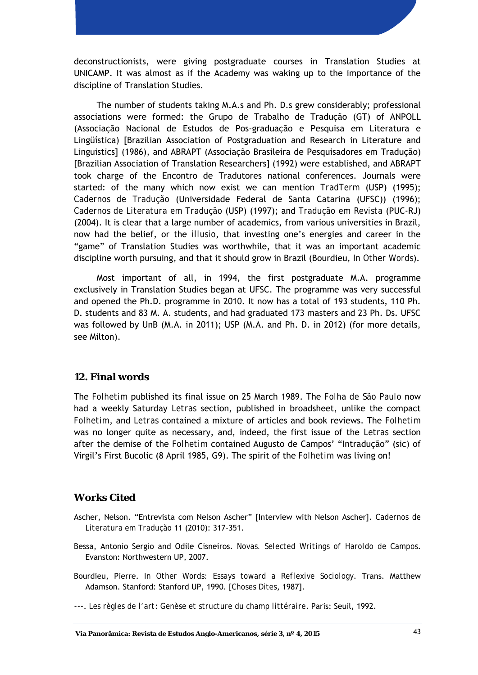deconstructionists, were giving postgraduate courses in Translation Studies at UNICAMP. It was almost as if the Academy was waking up to the importance of the discipline of Translation Studies.

The number of students taking M.A.s and Ph. D.s grew considerably; professional associations were formed: the Grupo de Trabalho de Tradução (GT) of ANPOLL (Associação Nacional de Estudos de Pos-graduação e Pesquisa em Literatura e Lingüística) [Brazilian Association of Postgraduation and Research in Literature and Linguistics] (1986), and ABRAPT (Associação Brasileira de Pesquisadores em Tradução) [Brazilian Association of Translation Researchers] (1992) were established, and ABRAPT took charge of the Encontro de Tradutores national conferences. Journals were started: of the many which now exist we can mention *TradTerm* (USP) (1995); *Cadernos de Tradução* (Universidade Federal de Santa Catarina (UFSC)) (1996); *Cadernos de Literatura em Tradução* (USP) (1997); and *Tradução em Revista* (PUC-RJ) (2004). It is clear that a large number of academics, from various universities in Brazil, now had the belief, or the *illusio*, that investing one's energies and career in the "game" of Translation Studies was worthwhile, that it was an important academic discipline worth pursuing, and that it should grow in Brazil (Bourdieu, *In Other Words*).

Most important of all, in 1994, the first postgraduate M.A. programme exclusively in Translation Studies began at UFSC. The programme was very successful and opened the Ph.D. programme in 2010. It now has a total of 193 students, 110 Ph. D. students and 83 M. A. students, and had graduated 173 masters and 23 Ph. Ds. UFSC was followed by UnB (M.A. in 2011); USP (M.A. and Ph. D. in 2012) (for more details, see Milton).

# **12. Final words**

The *Folhetim* published its final issue on 25 March 1989. The *Folha de São Paulo* now had a weekly Saturday *Letras* section, published in broadsheet, unlike the compact *Folhetim*, and *Letras* contained a mixture of articles and book reviews. The *Folhetim* was no longer quite as necessary, and, indeed, the first issue of the *Letras* section after the demise of the *Folhetim* contained Augusto de Campos' "Intradução" (sic) of Virgil's First Bucolic (8 April 1985, G9). The spirit of the *Folhetim* was living on!

# **Works Cited**

- Ascher, Nelson. "Entrevista com Nelson Ascher" [Interview with Nelson Ascher]. *Cadernos de Literatura em Tradução* 11 (2010): 317-351.
- Bessa, Antonio Sergio and Odile Cisneiros. *Novas. Selected Writings of Haroldo de Campos*. Evanston: Northwestern UP, 2007.
- Bourdieu, Pierre. *In Other Words: Essays toward a Reflexive Sociology*. Trans. Matthew Adamson. Stanford: Stanford UP, 1990. [*Choses Dites*, 1987].
- ---. *Les règles de l'art*: *Genèse et structure du champ littéraire*. Paris: Seuil, 1992.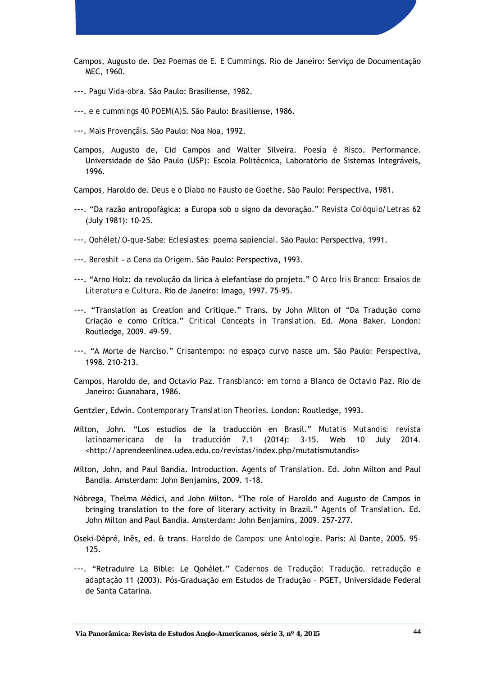- Campos, Augusto de. *Dez Poemas de E. E Cummings*. Rio de Janeiro: Serviço de Documentação MEC, 1960.
- ---. *Pagu Vida-obra.* São Paulo: Brasiliense, 1982.
- ---. *e e cummings 40 POEM(A)S*. São Paulo: Brasiliense, 1986.
- ---. *Mais Provençãis*. São Paulo: Noa Noa, 1992.
- Campos, Augusto de, Cid Campos and Walter Silveira. *Poesia é Risco*. Performance. Universidade de São Paulo (USP): Escola Politécnica, Laboratório de Sistemas Integráveis, 1996.

Campos, Haroldo de. *Deus e o Diabo no Fausto de Goethe*. São Paulo: Perspectiva, 1981.

- ---. "Da razão antropofágica: a Europa sob o signo da devoração." *Revista Colóquio/Letras* 62 (July 1981): 10-25.
- ---. *Qohélet/O-que-Sabe: Eclesiastes: poema sapiencial*. São Paulo: Perspectiva, 1991.
- ---. *Bereshit a Cena da Origem*. São Paulo: Perspectiva, 1993.
- ---. "Arno Holz: da revolução da lírica à elefantíase do projeto." *O Arco Íris Branco: Ensaios de Literatura e Cultura*. Rio de Janeiro: Imago, 1997. 75-95.
- ---. "Translation as Creation and Critique." Trans. by John Milton of "Da Tradução como Criação e como Crítica." *Critical Concepts in Translation*. Ed. Mona Baker. London: Routledge, 2009. 49-59.
- ---. "A Morte de Narciso." *Crisantempo*: *no espaço curvo nasce um*. São Paulo: Perspectiva, 1998. 210-213.
- Campos, Haroldo de, and Octavio Paz. *Transblanco: em torno a Blanco de Octavio Paz*. Rio de Janeiro: Guanabara, 1986.

Gentzler, Edwin. *Contemporary Translation Theories*. London: Routledge, 1993.

- Milton, John. "Los estudios de la traducción en Brasil." *Mutatis Mutandis: revista latinoamericana de la traducción* 7.1 (2014): 3-15. Web 10 July 2014. <http://aprendeenlinea.udea.edu.co/revistas/index.php/mutatismutandis>
- Milton, John, and Paul Bandia. Introduction. *Agents of Translation*. Ed. John Milton and Paul Bandia. Amsterdam: John Benjamins, 2009. 1-18.
- Nóbrega, Thelma Médici, and John Milton. "The role of Haroldo and Augusto de Campos in bringing translation to the fore of literary activity in Brazil." *Agents of Translation*. Ed. John Milton and Paul Bandia. Amsterdam: John Benjamins, 2009. 257-277.
- Oseki-Dépré, Inês, ed. & trans. *Haroldo de Campos: une Antologie*. Paris: Al Dante, 2005. 95– 125.
- ---. "Retraduire La Bible: Le Qohélet." *Cadernos de Tradução: Tradução, retradução e adaptação* 11 (2003). Pós-Graduação em Estudos de Tradução – PGET, Universidade Federal de Santa Catarina.